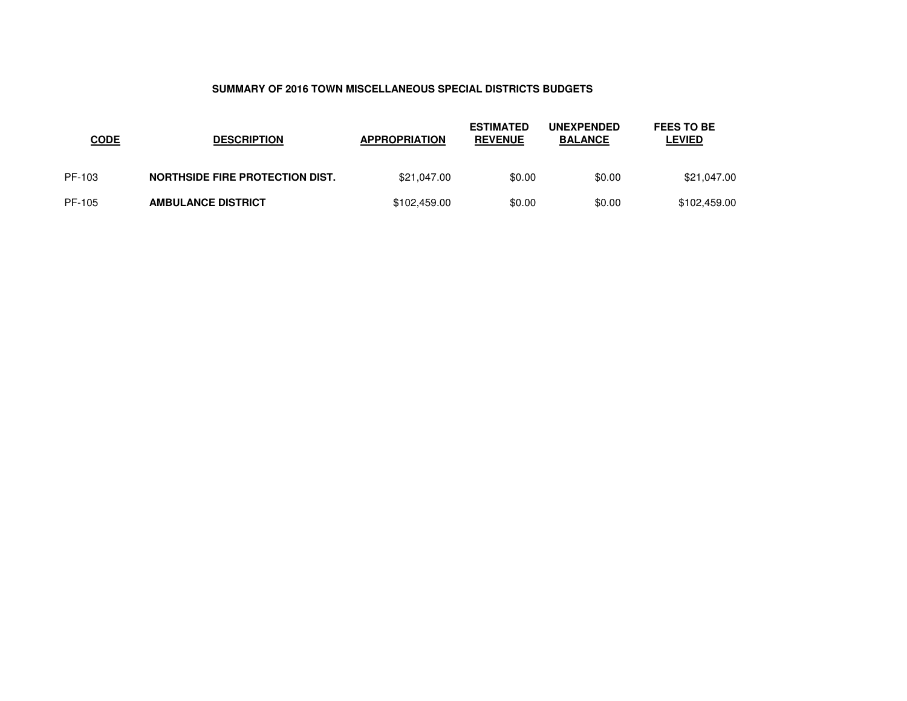## **SUMMARY OF 2016 TOWN MISCELLANEOUS SPECIAL DISTRICTS BUDGETS**

| <u>CODE</u> | <b>DESCRIPTION</b>              | <b>APPROPRIATION</b> | <b>ESTIMATED</b><br><b>REVENUE</b> | <b>UNEXPENDED</b><br><b>BALANCE</b> | <b>FEES TO BE</b><br><b>LEVIED</b> |
|-------------|---------------------------------|----------------------|------------------------------------|-------------------------------------|------------------------------------|
| PF-103      | NORTHSIDE FIRE PROTECTION DIST. | \$21,047.00          | \$0.00                             | \$0.00                              | \$21,047.00                        |
| PF-105      | <b>AMBULANCE DISTRICT</b>       | \$102,459.00         | \$0.00                             | \$0.00                              | \$102,459.00                       |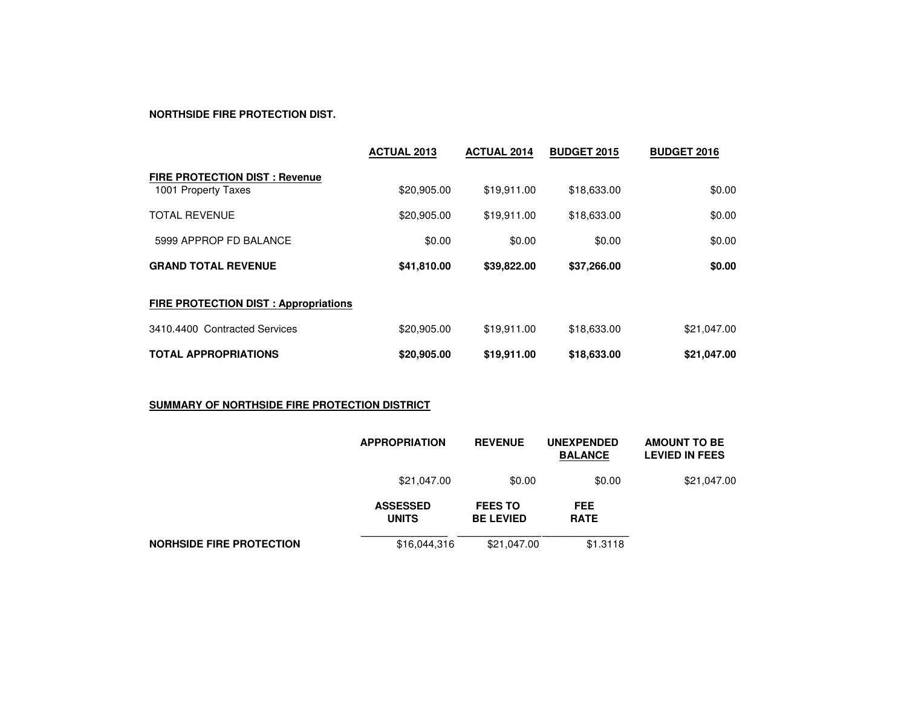### **NORTHSIDE FIRE PROTECTION DIST.**

|                                                             | <b>ACTUAL 2013</b> | <b>ACTUAL 2014</b> | <b>BUDGET 2015</b> | <b>BUDGET 2016</b> |
|-------------------------------------------------------------|--------------------|--------------------|--------------------|--------------------|
| <b>FIRE PROTECTION DIST: Revenue</b><br>1001 Property Taxes | \$20,905.00        | \$19,911.00        | \$18,633.00        | \$0.00             |
| <b>TOTAL REVENUE</b>                                        | \$20,905.00        | \$19,911.00        | \$18,633.00        | \$0.00             |
| 5999 APPROP FD BALANCE                                      | \$0.00             | \$0.00             | \$0.00             | \$0.00             |
| <b>GRAND TOTAL REVENUE</b>                                  | \$41,810.00        | \$39,822.00        | \$37,266.00        | \$0.00             |
| <b>FIRE PROTECTION DIST: Appropriations</b>                 |                    |                    |                    |                    |
| 3410.4400 Contracted Services                               | \$20,905.00        | \$19,911.00        | \$18,633.00        | \$21,047.00        |
| <b>TOTAL APPROPRIATIONS</b>                                 | \$20,905.00        | \$19,911.00        | \$18,633.00        | \$21,047.00        |

# **SUMMARY OF NORTHSIDE FIRE PROTECTION DISTRICT**

|                                 | <b>APPROPRIATION</b>            | <b>REVENUE</b>                     | <b>UNEXPENDED</b><br><b>BALANCE</b> | <b>AMOUNT TO BE</b><br><b>LEVIED IN FEES</b> |
|---------------------------------|---------------------------------|------------------------------------|-------------------------------------|----------------------------------------------|
|                                 | \$21,047.00                     | \$0.00                             | \$0.00                              | \$21,047.00                                  |
|                                 | <b>ASSESSED</b><br><b>UNITS</b> | <b>FEES TO</b><br><b>BE LEVIED</b> | <b>FEE</b><br><b>RATE</b>           |                                              |
| <b>NORHSIDE FIRE PROTECTION</b> | \$16,044,316                    | \$21,047.00                        | \$1.3118                            |                                              |